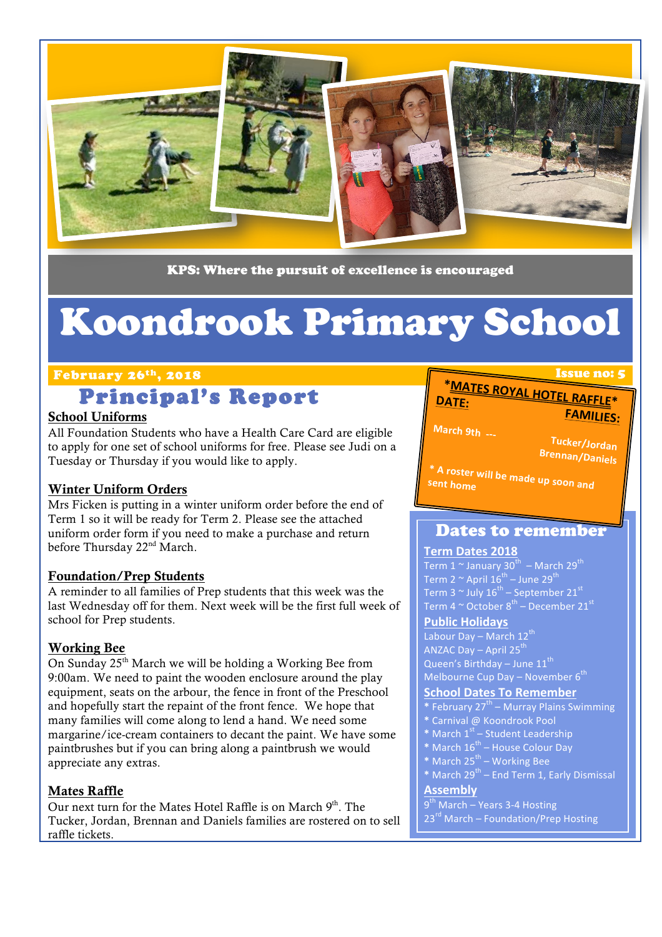

KPS: Where the pursuit of excellence is encouraged

# Koondrook Primary School

#### February 26<sup>th</sup>, 2018 **Issue no: 5** Issue no: 5

# Principal's Report

#### School Uniforms

All Foundation Students who have a Health Care Card are eligible to apply for one set of school uniforms for free. Please see Judi on a Tuesday or Thursday if you would like to apply.

#### Winter Uniform Orders

Mrs Ficken is putting in a winter uniform order before the end of Term 1 so it will be ready for Term 2. Please see the attached uniform order form if you need to make a purchase and return before Thursday 22<sup>nd</sup> March.

#### Foundation/Prep Students

A reminder to all families of Prep students that this week was the last Wednesday off for them. Next week will be the first full week of school for Prep students.

#### Working Bee

On Sunday 25<sup>th</sup> March we will be holding a Working Bee from 9:00am. We need to paint the wooden enclosure around the play equipment, seats on the arbour, the fence in front of the Preschool and hopefully start the repaint of the front fence. We hope that many families will come along to lend a hand. We need some margarine/ice-cream containers to decant the paint. We have some paintbrushes but if you can bring along a paintbrush we would appreciate any extras.

#### Mates Raffle

Our next turn for the Mates Hotel Raffle is on March  $9<sup>th</sup>$ . The Tucker, Jordan, Brennan and Daniels families are rostered on to sell raffle tickets.

#### **\*<u>MATES ROYAL HOTEL RAFFLE</u> DATE: FAMILIES:**

**March 9th ---**

**Tucker/Jordan Brennan/Daniels** 

**\***

 $\mathbf I$ 

<sup>\*</sup> A roster will be made up soon and<br><sup>Sent</sup> home sent home

### Dates to remember

#### **Term Dates 2018**

Term 1  $\sim$  January 30<sup>th</sup> – March 29<sup>th</sup> Term  $2 \sim$  April  $16^{th}$  – June  $29^{th}$ Term 3  $^{\sim}$  July 16 $^{\rm th}$  – September 21 $^{\rm st}$ Term 4  $\rm \sim$  October 8<sup>th</sup> – December 21 $^{\rm st}$ 

#### **Public Holidays**

Labour Day – March  $12^{th}$ ANZAC Day – April  $25^{th}$ Queen's Birthday – June  $11^{th}$ Melbourne Cup Day – November  $6^{th}$ 

#### **School Dates To Remember**

**\*** February 27th – Murray Plains Swimming

- **\*** Carnival @ Koondrook Pool
- \* March 1<sup>st</sup> Student Leadership
- **\*** March 16th House Colour Day
- \* March 25<sup>th</sup> Working Bee
- **\*** March 29<sup>th</sup> End Term 1, Early Dismissal

#### **Assembly**

- $9<sup>th</sup>$  March Years 3-4 Hosting
- $23<sup>rd</sup>$  March Foundation/Prep Hosting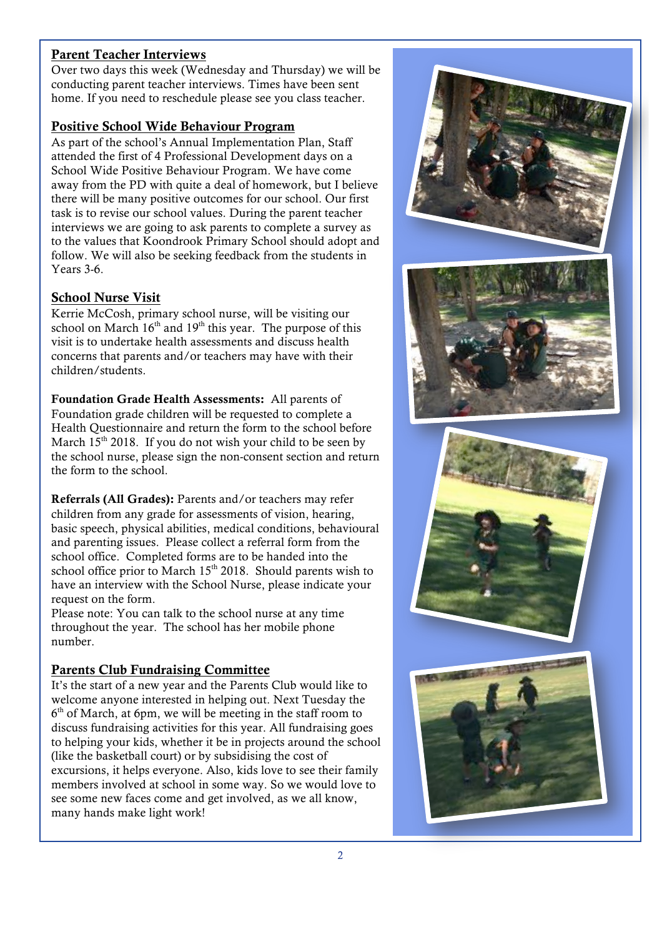#### Parent Teacher Interviews

Over two days this week (Wednesday and Thursday) we will be conducting parent teacher interviews. Times have been sent home. If you need to reschedule please see you class teacher.

#### Positive School Wide Behaviour Program

As part of the school's Annual Implementation Plan, Staff attended the first of 4 Professional Development days on a School Wide Positive Behaviour Program. We have come away from the PD with quite a deal of homework, but I believe there will be many positive outcomes for our school. Our first task is to revise our school values. During the parent teacher interviews we are going to ask parents to complete a survey as to the values that Koondrook Primary School should adopt and follow. We will also be seeking feedback from the students in Years 3-6.

#### School Nurse Visit

Kerrie McCosh, primary school nurse, will be visiting our school on March  $16<sup>th</sup>$  and  $19<sup>th</sup>$  this year. The purpose of this visit is to undertake health assessments and discuss health concerns that parents and/or teachers may have with their children/students.

Foundation Grade Health Assessments: All parents of Foundation grade children will be requested to complete a Health Questionnaire and return the form to the school before March  $15<sup>th</sup>$  2018. If you do not wish your child to be seen by the school nurse, please sign the non-consent section and return the form to the school.

Referrals (All Grades): Parents and/or teachers may refer children from any grade for assessments of vision, hearing, basic speech, physical abilities, medical conditions, behavioural and parenting issues. Please collect a referral form from the school office. Completed forms are to be handed into the school office prior to March  $15<sup>th</sup> 2018$ . Should parents wish to have an interview with the School Nurse, please indicate your request on the form.

Please note: You can talk to the school nurse at any time throughout the year. The school has her mobile phone number.

#### Parents Club Fundraising Committee

It's the start of a new year and the Parents Club would like to welcome anyone interested in helping out. Next Tuesday the  $6<sup>th</sup>$  of March, at 6pm, we will be meeting in the staff room to discuss fundraising activities for this year. All fundraising goes to helping your kids, whether it be in projects around the school (like the basketball court) or by subsidising the cost of excursions, it helps everyone. Also, kids love to see their family members involved at school in some way. So we would love to see some new faces come and get involved, as we all know, many hands make light work!

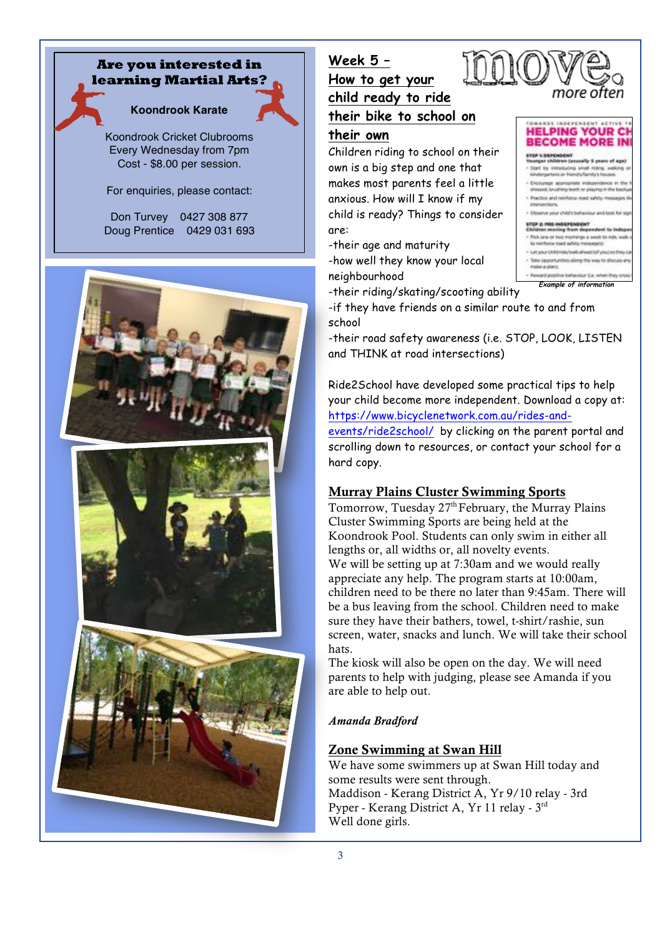#### **Are you interested in learning Martial Arts?**

## **Koondrook Karate**

Koondrook Cricket Clubrooms Every Wednesday from 7pm Cost - \$8.00 per session.

For enquiries, please contact:

Don Turvey 0427 308 877 Doug Prentice 0429 031 693



## **Week 5 – How to get your child ready to ride their bike to school on their own**

Children riding to school on their own is a big step and one that makes most parents feel a little anxious. How will I know if my child is ready? Things to consider are:

-their age and maturity -how well they know your local neighbourhood



**Example of information** 

-their riding/skating/scooting ability

-if they have friends on a similar route to and from school

-their road safety awareness (i.e. STOP, LOOK, LISTEN and THINK at road intersections)

Ride2School have developed some practical tips to help your child become more independent. Download a copy at: https://www.bicyclenetwork.com.au/rides-and-

events/ride2school/ by clicking on the parent portal and scrolling down to resources, or contact your school for a hard copy.

#### Murray Plains Cluster Swimming Sports

Tomorrow, Tuesday  $27<sup>th</sup>$  February, the Murray Plains Cluster Swimming Sports are being held at the Koondrook Pool. Students can only swim in either all lengths or, all widths or, all novelty events. We will be setting up at 7:30am and we would really appreciate any help. The program starts at 10:00am, children need to be there no later than 9:45am. There will be a bus leaving from the school. Children need to make sure they have their bathers, towel, t-shirt/rashie, sun screen, water, snacks and lunch. We will take their school hats.

The kiosk will also be open on the day. We will need parents to help with judging, please see Amanda if you are able to help out.

#### *Amanda Bradford*

#### Zone Swimming at Swan Hill

We have some swimmers up at Swan Hill today and some results were sent through. Maddison - Kerang District A, Yr 9/10 relay - 3rd Pyper - Kerang District A, Yr 11 relay - 3rd Well done girls.